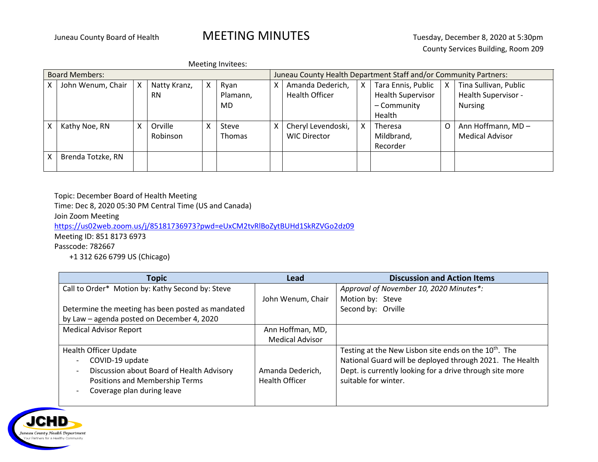## Juneau County Board of Health **MEETING MINUTES** Tuesday, December 8, 2020 at 5:30pm

Meeting Invitees:

| <b>Board Members:</b> |                   |   |              |   | Juneau County Health Department Staff and/or Community Partners: |   |                     |   |                          |   |                        |
|-----------------------|-------------------|---|--------------|---|------------------------------------------------------------------|---|---------------------|---|--------------------------|---|------------------------|
| x                     | John Wenum, Chair | X | Natty Kranz, | X | Ryan                                                             | x | Amanda Dederich,    | X | Tara Ennis, Public       | X | Tina Sullivan, Public  |
|                       |                   |   | <b>RN</b>    |   | Plamann,                                                         |   | Health Officer      |   | <b>Health Supervisor</b> |   | Health Supervisor -    |
|                       |                   |   |              |   | MD                                                               |   |                     |   | - Community              |   | <b>Nursing</b>         |
|                       |                   |   |              |   |                                                                  |   |                     |   | Health                   |   |                        |
| Χ                     | Kathy Noe, RN     | X | Orville      | X | Steve                                                            | Χ | Cheryl Levendoski,  | X | Theresa                  |   | Ann Hoffmann, MD-      |
|                       |                   |   | Robinson     |   | Thomas                                                           |   | <b>WIC Director</b> |   | Mildbrand,               |   | <b>Medical Advisor</b> |
|                       |                   |   |              |   |                                                                  |   |                     |   | Recorder                 |   |                        |
| Χ                     | Brenda Totzke, RN |   |              |   |                                                                  |   |                     |   |                          |   |                        |
|                       |                   |   |              |   |                                                                  |   |                     |   |                          |   |                        |

Topic: December Board of Health Meeting

Time: Dec 8, 2020 05:30 PM Central Time (US and Canada)

Join Zoom Meeting

<https://us02web.zoom.us/j/85181736973?pwd=eUxCM2tvRlBoZytBUHd1SkRZVGo2dz09>

Meeting ID: 851 8173 6973

Passcode: 782667

+1 312 626 6799 US (Chicago)

| <b>Topic</b>                                      | <b>Lead</b>            | <b>Discussion and Action Items</b>                                |
|---------------------------------------------------|------------------------|-------------------------------------------------------------------|
| Call to Order* Motion by: Kathy Second by: Steve  |                        | Approval of November 10, 2020 Minutes*:                           |
|                                                   | John Wenum, Chair      | Motion by: Steve                                                  |
| Determine the meeting has been posted as mandated |                        | Second by: Orville                                                |
| by Law - agenda posted on December 4, 2020        |                        |                                                                   |
| <b>Medical Advisor Report</b>                     | Ann Hoffman, MD,       |                                                                   |
|                                                   | <b>Medical Advisor</b> |                                                                   |
| <b>Health Officer Update</b>                      |                        | Testing at the New Lisbon site ends on the 10 <sup>th</sup> . The |
| COVID-19 update                                   |                        | National Guard will be deployed through 2021. The Health          |
| Discussion about Board of Health Advisory         | Amanda Dederich,       | Dept. is currently looking for a drive through site more          |
| Positions and Membership Terms                    | <b>Health Officer</b>  | suitable for winter.                                              |
| Coverage plan during leave                        |                        |                                                                   |
|                                                   |                        |                                                                   |

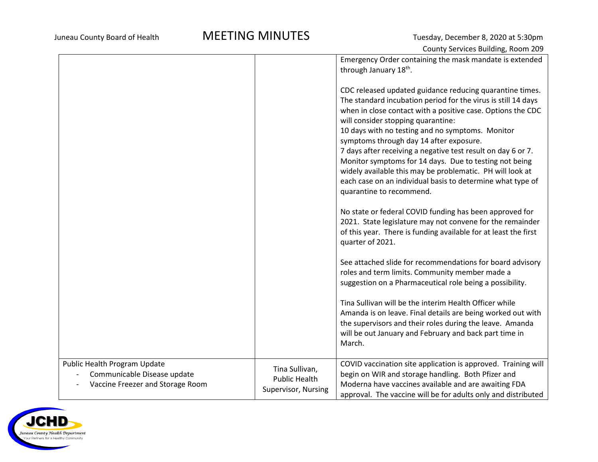## Juneau County Board of Health **MEETING MINUTES** Tuesday, December 8, 2020 at 5:30pm

|                                                                                                 |                                                               | Emergency Order containing the mask mandate is extended<br>through January 18 <sup>th</sup> .                                                                                                                                                                                                                                                                                                                                                                                                                                                                                                                  |
|-------------------------------------------------------------------------------------------------|---------------------------------------------------------------|----------------------------------------------------------------------------------------------------------------------------------------------------------------------------------------------------------------------------------------------------------------------------------------------------------------------------------------------------------------------------------------------------------------------------------------------------------------------------------------------------------------------------------------------------------------------------------------------------------------|
|                                                                                                 |                                                               | CDC released updated guidance reducing quarantine times.<br>The standard incubation period for the virus is still 14 days<br>when in close contact with a positive case. Options the CDC<br>will consider stopping quarantine:<br>10 days with no testing and no symptoms. Monitor<br>symptoms through day 14 after exposure.<br>7 days after receiving a negative test result on day 6 or 7.<br>Monitor symptoms for 14 days. Due to testing not being<br>widely available this may be problematic. PH will look at<br>each case on an individual basis to determine what type of<br>quarantine to recommend. |
|                                                                                                 |                                                               | No state or federal COVID funding has been approved for<br>2021. State legislature may not convene for the remainder<br>of this year. There is funding available for at least the first<br>quarter of 2021.                                                                                                                                                                                                                                                                                                                                                                                                    |
|                                                                                                 |                                                               | See attached slide for recommendations for board advisory<br>roles and term limits. Community member made a<br>suggestion on a Pharmaceutical role being a possibility.                                                                                                                                                                                                                                                                                                                                                                                                                                        |
|                                                                                                 |                                                               | Tina Sullivan will be the interim Health Officer while<br>Amanda is on leave. Final details are being worked out with<br>the supervisors and their roles during the leave. Amanda<br>will be out January and February and back part time in<br>March.                                                                                                                                                                                                                                                                                                                                                          |
| Public Health Program Update<br>Communicable Disease update<br>Vaccine Freezer and Storage Room | Tina Sullivan,<br><b>Public Health</b><br>Supervisor, Nursing | COVID vaccination site application is approved. Training will<br>begin on WIR and storage handling. Both Pfizer and<br>Moderna have vaccines available and are awaiting FDA<br>approval. The vaccine will be for adults only and distributed                                                                                                                                                                                                                                                                                                                                                                   |

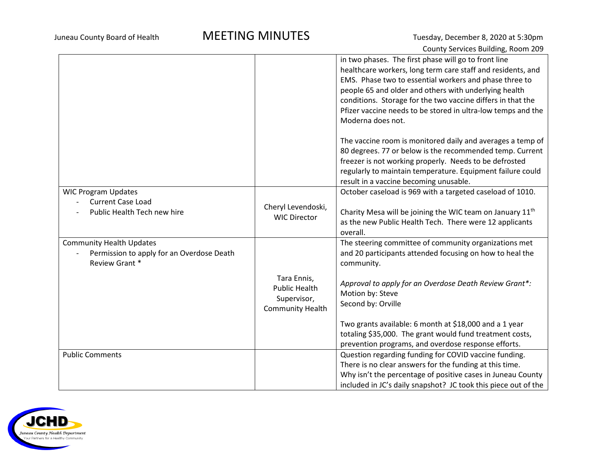|                                                                                                |                                                                               | in two phases. The first phase will go to front line<br>healthcare workers, long term care staff and residents, and<br>EMS. Phase two to essential workers and phase three to<br>people 65 and older and others with underlying health<br>conditions. Storage for the two vaccine differs in that the<br>Pfizer vaccine needs to be stored in ultra-low temps and the |
|------------------------------------------------------------------------------------------------|-------------------------------------------------------------------------------|-----------------------------------------------------------------------------------------------------------------------------------------------------------------------------------------------------------------------------------------------------------------------------------------------------------------------------------------------------------------------|
|                                                                                                |                                                                               | Moderna does not.                                                                                                                                                                                                                                                                                                                                                     |
|                                                                                                |                                                                               | The vaccine room is monitored daily and averages a temp of<br>80 degrees. 77 or below is the recommended temp. Current<br>freezer is not working properly. Needs to be defrosted<br>regularly to maintain temperature. Equipment failure could<br>result in a vaccine becoming unusable.                                                                              |
| <b>WIC Program Updates</b><br><b>Current Case Load</b><br>Public Health Tech new hire          | Cheryl Levendoski,<br><b>WIC Director</b>                                     | October caseload is 969 with a targeted caseload of 1010.<br>Charity Mesa will be joining the WIC team on January 11 <sup>th</sup><br>as the new Public Health Tech. There were 12 applicants<br>overall.                                                                                                                                                             |
| <b>Community Health Updates</b><br>Permission to apply for an Overdose Death<br>Review Grant * |                                                                               | The steering committee of community organizations met<br>and 20 participants attended focusing on how to heal the<br>community.                                                                                                                                                                                                                                       |
|                                                                                                | Tara Ennis,<br><b>Public Health</b><br>Supervisor,<br><b>Community Health</b> | Approval to apply for an Overdose Death Review Grant*:<br>Motion by: Steve<br>Second by: Orville                                                                                                                                                                                                                                                                      |
|                                                                                                |                                                                               | Two grants available: 6 month at \$18,000 and a 1 year<br>totaling \$35,000. The grant would fund treatment costs,<br>prevention programs, and overdose response efforts.                                                                                                                                                                                             |
| <b>Public Comments</b>                                                                         |                                                                               | Question regarding funding for COVID vaccine funding.<br>There is no clear answers for the funding at this time.<br>Why isn't the percentage of positive cases in Juneau County<br>included in JC's daily snapshot? JC took this piece out of the                                                                                                                     |